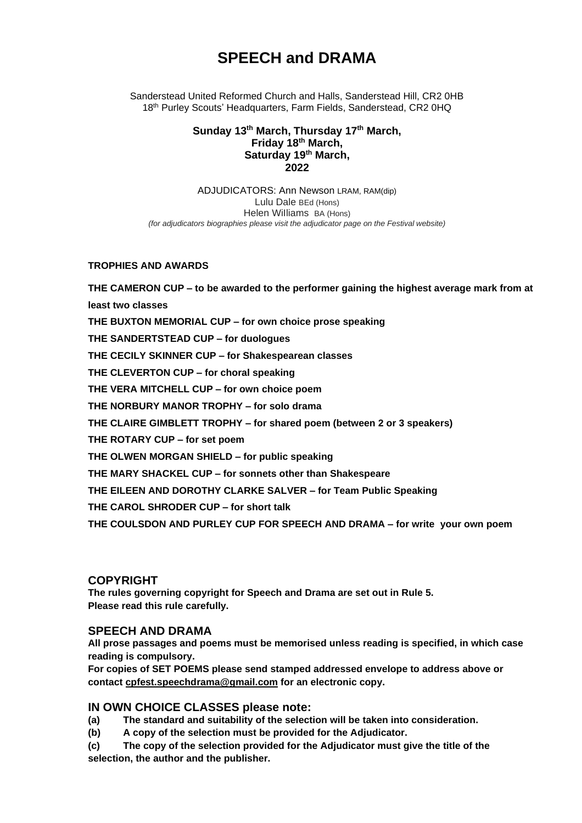# **SPEECH and DRAMA**

Sanderstead United Reformed Church and Halls, Sanderstead Hill, CR2 0HB 18<sup>th</sup> Purley Scouts' Headquarters, Farm Fields, Sanderstead, CR2 0HQ

#### **Sunday 13th March, Thursday 17 th March, Friday 18th March, Saturday 19th March, 2022**

ADJUDICATORS: Ann Newson LRAM, RAM(dip) Lulu Dale BEd (Hons) Helen WiIliams BA (Hons) *(for adjudicators biographies please visit the adjudicator page on the Festival website)*

#### **TROPHIES AND AWARDS**

**THE CAMERON CUP – to be awarded to the performer gaining the highest average mark from at least two classes THE BUXTON MEMORIAL CUP – for own choice prose speaking THE SANDERTSTEAD CUP – for duologues THE CECILY SKINNER CUP – for Shakespearean classes THE CLEVERTON CUP – for choral speaking THE VERA MITCHELL CUP – for own choice poem THE NORBURY MANOR TROPHY – for solo drama THE CLAIRE GIMBLETT TROPHY – for shared poem (between 2 or 3 speakers) THE ROTARY CUP – for set poem THE OLWEN MORGAN SHIELD – for public speaking THE MARY SHACKEL CUP – for sonnets other than Shakespeare THE EILEEN AND DOROTHY CLARKE SALVER – for Team Public Speaking THE CAROL SHRODER CUP – for short talk THE COULSDON AND PURLEY CUP FOR SPEECH AND DRAMA – for write your own poem**

#### **COPYRIGHT**

**The rules governing copyright for Speech and Drama are set out in Rule 5. Please read this rule carefully.**

#### **SPEECH AND DRAMA**

**All prose passages and poems must be memorised unless reading is specified, in which case reading is compulsory.**

**For copies of SET POEMS please send stamped addressed envelope to address above or contact [cpfest.speechdrama@gmail.com](mailto:cpfest.speechdrama@gmail.com) for an electronic copy.**

#### **IN OWN CHOICE CLASSES please note:**

- **(a) The standard and suitability of the selection will be taken into consideration.**
- **(b) A copy of the selection must be provided for the Adjudicator.**

**(c) The copy of the selection provided for the Adjudicator must give the title of the selection, the author and the publisher.**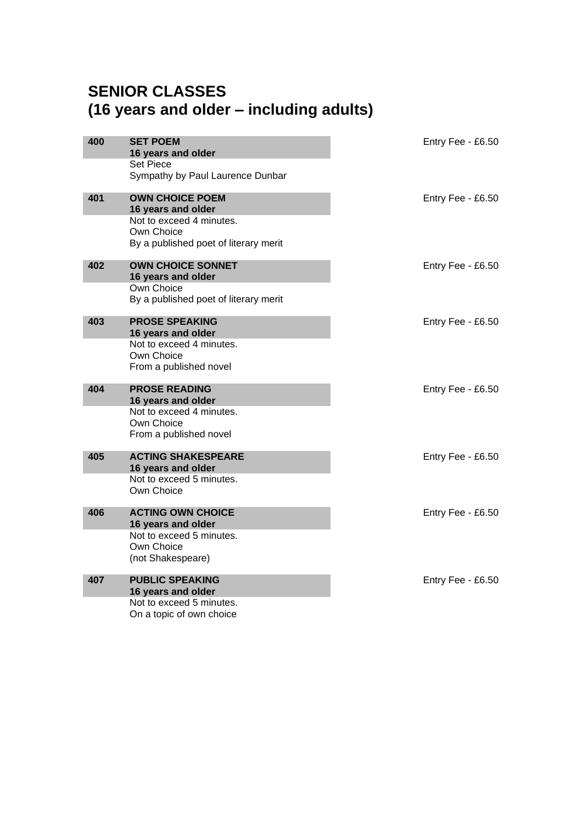# **SENIOR CLASSES (16 years and older – including adults)**

| 400 | <b>SET POEM</b><br>16 years and older<br><b>Set Piece</b>                                                                       | Entry Fee - £6.50 |
|-----|---------------------------------------------------------------------------------------------------------------------------------|-------------------|
|     | Sympathy by Paul Laurence Dunbar                                                                                                |                   |
| 401 | <b>OWN CHOICE POEM</b><br>16 years and older<br>Not to exceed 4 minutes.<br>Own Choice<br>By a published poet of literary merit | Entry Fee - £6.50 |
| 402 | <b>OWN CHOICE SONNET</b><br>16 years and older<br>Own Choice<br>By a published poet of literary merit                           | Entry Fee - £6.50 |
| 403 | <b>PROSE SPEAKING</b><br>16 years and older<br>Not to exceed 4 minutes.<br>Own Choice<br>From a published novel                 | Entry Fee - £6.50 |
| 404 | <b>PROSE READING</b><br>16 years and older<br>Not to exceed 4 minutes.<br>Own Choice<br>From a published novel                  | Entry Fee - £6.50 |
| 405 | <b>ACTING SHAKESPEARE</b><br>16 years and older<br>Not to exceed 5 minutes.<br>Own Choice                                       | Entry Fee - £6.50 |
| 406 | <b>ACTING OWN CHOICE</b><br>16 years and older<br>Not to exceed 5 minutes.<br>Own Choice<br>(not Shakespeare)                   | Entry Fee - £6.50 |
| 407 | <b>PUBLIC SPEAKING</b><br>16 years and older<br>Not to exceed 5 minutes.<br>On a topic of own choice                            | Entry Fee - £6.50 |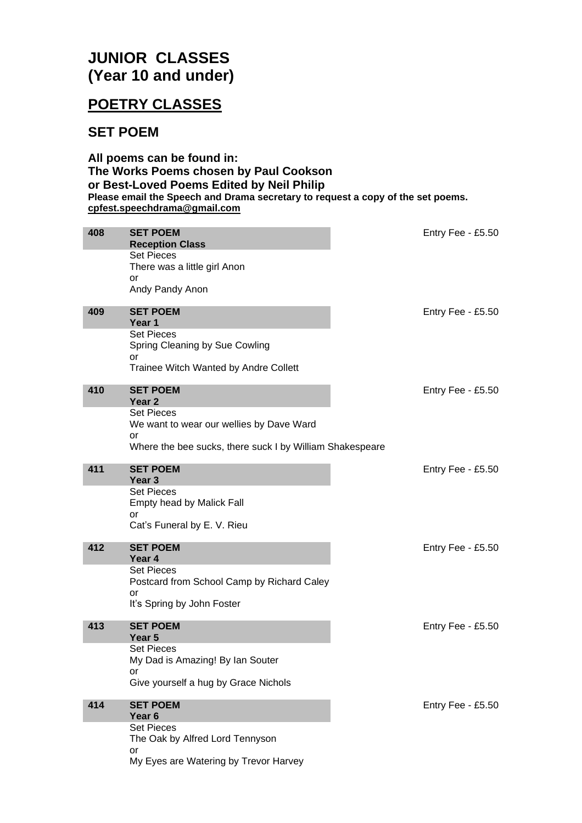# **JUNIOR CLASSES (Year 10 and under)**

# **POETRY CLASSES**

#### **SET POEM**

**All poems can be found in: The Works Poems chosen by Paul Cookson or Best-Loved Poems Edited by Neil Philip Please email the Speech and Drama secretary to request a copy of the set poems. [cpfest.speechdrama@gmail.com](mailto:cpfest.speechdrama@gmail.com)**

| 408 | <b>SET POEM</b><br><b>Reception Class</b>                                                                                                                               | Entry Fee - £5.50 |
|-----|-------------------------------------------------------------------------------------------------------------------------------------------------------------------------|-------------------|
|     | <b>Set Pieces</b><br>There was a little girl Anon<br>or<br>Andy Pandy Anon                                                                                              |                   |
| 409 | <b>SET POEM</b><br>Year 1<br><b>Set Pieces</b>                                                                                                                          | Entry Fee - £5.50 |
|     | Spring Cleaning by Sue Cowling<br>or<br>Trainee Witch Wanted by Andre Collett                                                                                           |                   |
| 410 | <b>SET POEM</b><br>Year <sub>2</sub><br><b>Set Pieces</b><br>We want to wear our wellies by Dave Ward<br>or<br>Where the bee sucks, there suck I by William Shakespeare | Entry Fee - £5.50 |
| 411 | <b>SET POEM</b><br>Year <sub>3</sub><br><b>Set Pieces</b><br>Empty head by Malick Fall<br>or<br>Cat's Funeral by E. V. Rieu                                             | Entry Fee - £5.50 |
| 412 | <b>SET POEM</b><br>Year 4<br><b>Set Pieces</b><br>Postcard from School Camp by Richard Caley<br>or<br>It's Spring by John Foster                                        | Entry Fee - £5.50 |
| 413 | <b>SET POEM</b><br>Year <sub>5</sub><br><b>Set Pieces</b><br>My Dad is Amazing! By Ian Souter<br>or<br>Give yourself a hug by Grace Nichols                             | Entry Fee - £5.50 |
| 414 | <b>SET POEM</b><br>Year <sub>6</sub><br><b>Set Pieces</b><br>The Oak by Alfred Lord Tennyson<br>or<br>My Eyes are Watering by Trevor Harvey                             | Entry Fee - £5.50 |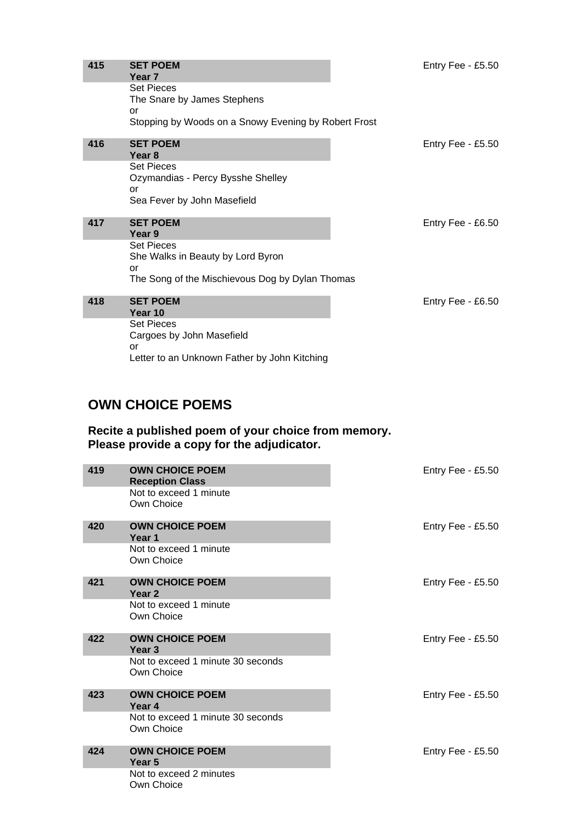| 415 | <b>SET POEM</b><br>Year <sub>7</sub>                                                              | Entry Fee - £5.50 |
|-----|---------------------------------------------------------------------------------------------------|-------------------|
|     | <b>Set Pieces</b><br>The Snare by James Stephens                                                  |                   |
|     | or<br>Stopping by Woods on a Snowy Evening by Robert Frost                                        |                   |
| 416 | <b>SET POEM</b>                                                                                   | Entry Fee - £5.50 |
|     | Year <sub>8</sub>                                                                                 |                   |
|     | <b>Set Pieces</b><br>Ozymandias - Percy Bysshe Shelley                                            |                   |
|     | or<br>Sea Fever by John Masefield                                                                 |                   |
| 417 | <b>SET POEM</b><br>Year 9                                                                         | Entry Fee - £6.50 |
|     | <b>Set Pieces</b><br>She Walks in Beauty by Lord Byron                                            |                   |
|     | or                                                                                                |                   |
|     | The Song of the Mischievous Dog by Dylan Thomas                                                   |                   |
| 418 | <b>SET POEM</b><br>Year 10                                                                        | Entry Fee - £6.50 |
|     | <b>Set Pieces</b>                                                                                 |                   |
|     | Cargoes by John Masefield                                                                         |                   |
|     | or<br>Letter to an Unknown Father by John Kitching                                                |                   |
|     |                                                                                                   |                   |
|     |                                                                                                   |                   |
|     | <b>OWN CHOICE POEMS</b>                                                                           |                   |
|     | Recite a published poem of your choice from memory.<br>Please provide a copy for the adjudicator. |                   |

| 419 | <b>OWN CHOICE POEM</b><br><b>Reception Class</b> | Entry Fee - £5.50 |
|-----|--------------------------------------------------|-------------------|
|     | Not to exceed 1 minute<br>Own Choice             |                   |
| 420 | <b>OWN CHOICE POEM</b><br>Year 1                 | Entry Fee - £5.50 |
|     | Not to exceed 1 minute<br>Own Choice             |                   |
| 421 | <b>OWN CHOICE POEM</b><br>Year <sub>2</sub>      | Entry Fee - £5.50 |
|     | Not to exceed 1 minute<br>Own Choice             |                   |
| 422 | <b>OWN CHOICE POEM</b><br>Year <sub>3</sub>      | Entry Fee - £5.50 |
|     | Not to exceed 1 minute 30 seconds<br>Own Choice  |                   |
| 423 | <b>OWN CHOICE POEM</b><br>Year 4                 | Entry Fee - £5.50 |
|     | Not to exceed 1 minute 30 seconds<br>Own Choice  |                   |
| 424 | <b>OWN CHOICE POEM</b><br>Year <sub>5</sub>      | Entry Fee - £5.50 |
|     | Not to exceed 2 minutes<br>Own Choice            |                   |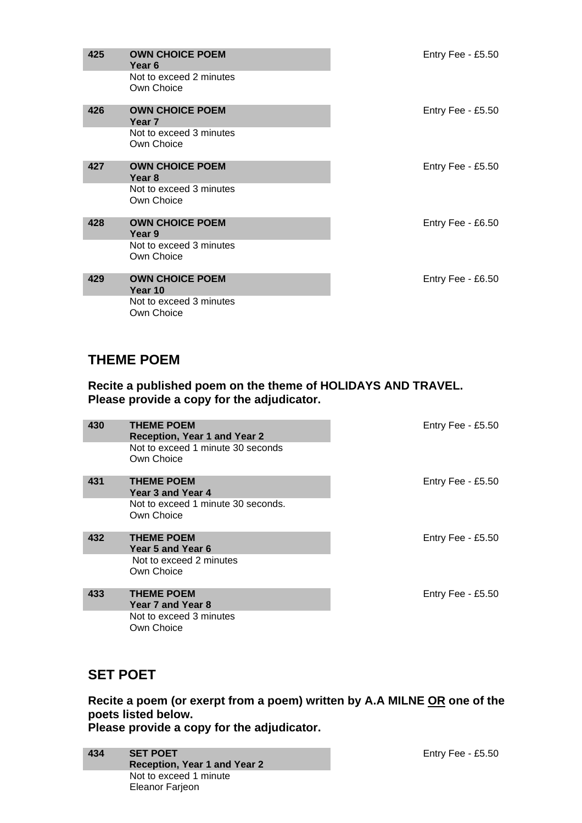| 425 | <b>OWN CHOICE POEM</b><br>Year 6            | Entry Fee - $£5.50$ |
|-----|---------------------------------------------|---------------------|
|     | Not to exceed 2 minutes<br>Own Choice       |                     |
| 426 | <b>OWN CHOICE POEM</b><br>Year <sub>7</sub> | Entry Fee - $£5.50$ |
|     | Not to exceed 3 minutes<br>Own Choice       |                     |
| 427 | <b>OWN CHOICE POEM</b><br>Year 8            | Entry Fee - $£5.50$ |
|     | Not to exceed 3 minutes<br>Own Choice       |                     |
| 428 | <b>OWN CHOICE POEM</b><br>Year 9            | Entry Fee - £6.50   |
|     | Not to exceed 3 minutes<br>Own Choice       |                     |
| 429 | <b>OWN CHOICE POEM</b><br>Year 10           | Entry Fee - £6.50   |
|     | Not to exceed 3 minutes<br>Own Choice       |                     |

### **THEME POEM**

**Recite a published poem on the theme of HOLIDAYS AND TRAVEL. Please provide a copy for the adjudicator.**

| 430 | <b>THEME POEM</b><br><b>Reception, Year 1 and Year 2</b><br>Not to exceed 1 minute 30 seconds | Entry Fee - $£5.50$ |
|-----|-----------------------------------------------------------------------------------------------|---------------------|
|     | Own Choice                                                                                    |                     |
| 431 | <b>THEME POEM</b><br>Year 3 and Year 4                                                        | Entry Fee - $£5.50$ |
|     | Not to exceed 1 minute 30 seconds.<br>Own Choice                                              |                     |
| 432 | <b>THEME POEM</b><br>Year 5 and Year 6                                                        | Entry Fee - £5.50   |
|     | Not to exceed 2 minutes<br>Own Choice                                                         |                     |
| 433 | <b>THEME POEM</b><br>Year 7 and Year 8                                                        | Entry Fee - $£5.50$ |
|     | Not to exceed 3 minutes<br>Own Choice                                                         |                     |

# **SET POET**

**Recite a poem (or exerpt from a poem) written by A.A MILNE OR one of the poets listed below. Please provide a copy for the adjudicator.**

| 434 | <b>SET POET</b>              |
|-----|------------------------------|
|     | Reception, Year 1 and Year 2 |
|     | Not to exceed 1 minute       |
|     | <b>Eleanor Farjeon</b>       |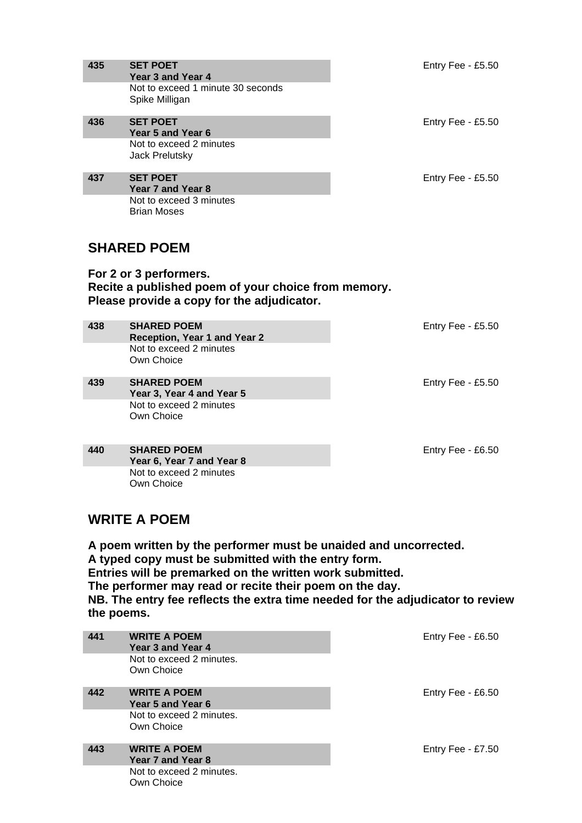| 435                                                                                                                         | <b>SET POET</b><br>Year 3 and Year 4<br>Not to exceed 1 minute 30 seconds<br>Spike Milligan | Entry Fee - £5.50 |  |
|-----------------------------------------------------------------------------------------------------------------------------|---------------------------------------------------------------------------------------------|-------------------|--|
| 436                                                                                                                         | <b>SET POET</b><br>Year 5 and Year 6<br>Not to exceed 2 minutes<br>Jack Prelutsky           | Entry Fee - £5.50 |  |
| 437                                                                                                                         | <b>SET POET</b><br>Year 7 and Year 8<br>Not to exceed 3 minutes<br><b>Brian Moses</b>       | Entry Fee - £5.50 |  |
|                                                                                                                             | <b>SHARED POEM</b>                                                                          |                   |  |
| For 2 or 3 performers.<br>Recite a published poem of your choice from memory.<br>Please provide a copy for the adjudicator. |                                                                                             |                   |  |
|                                                                                                                             |                                                                                             |                   |  |
| 438                                                                                                                         | <b>SHARED POEM</b><br>Reception, Year 1 and Year 2<br>Not to exceed 2 minutes<br>Own Choice | Entry Fee - £5.50 |  |
| 439                                                                                                                         | <b>SHARED POEM</b><br>Year 3, Year 4 and Year 5<br>Not to exceed 2 minutes<br>Own Choice    | Entry Fee - £5.50 |  |

# **WRITE A POEM**

**A poem written by the performer must be unaided and uncorrected. A typed copy must be submitted with the entry form. Entries will be premarked on the written work submitted. The performer may read or recite their poem on the day. NB. The entry fee reflects the extra time needed for the adjudicator to review the poems.**

| 441 | <b>WRITE A POEM</b><br>Year 3 and Year 4<br>Not to exceed 2 minutes.<br>Own Choice | Entry Fee - £6.50 |
|-----|------------------------------------------------------------------------------------|-------------------|
| 442 | <b>WRITE A POEM</b><br>Year 5 and Year 6<br>Not to exceed 2 minutes.<br>Own Choice | Entry Fee - £6.50 |
| 443 | <b>WRITE A POEM</b><br>Year 7 and Year 8<br>Not to exceed 2 minutes.<br>Own Choice | Entry Fee - £7.50 |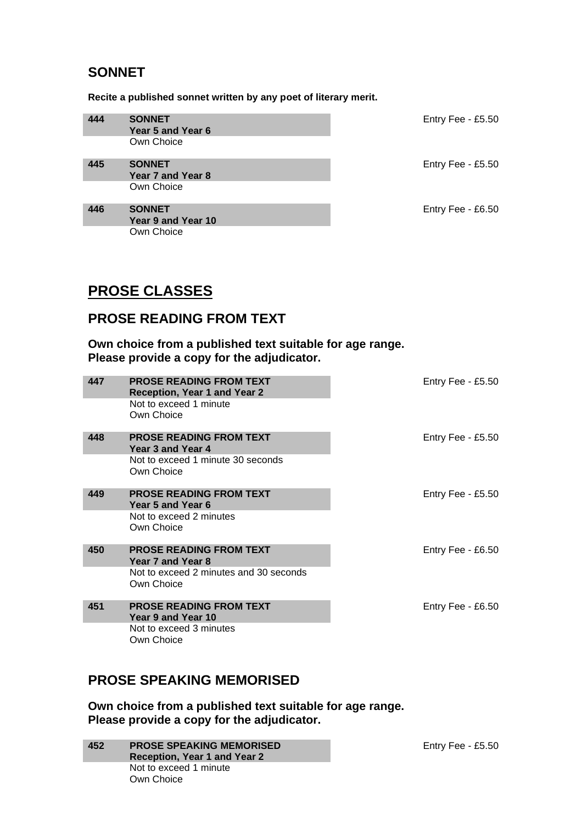## **SONNET**

**Recite a published sonnet written by any poet of literary merit.**

| 444 | <b>SONNET</b><br>Year 5 and Year 6  | Entry Fee - £5.50 |
|-----|-------------------------------------|-------------------|
|     | Own Choice                          |                   |
| 445 | <b>SONNET</b><br>Year 7 and Year 8  | Entry Fee - £5.50 |
|     | Own Choice                          |                   |
| 446 | <b>SONNET</b><br>Year 9 and Year 10 | Entry Fee - £6.50 |
|     | Own Choice                          |                   |

# **PROSE CLASSES**

#### **PROSE READING FROM TEXT**

**Own choice from a published text suitable for age range. Please provide a copy for the adjudicator.**

| 447 | <b>PROSE READING FROM TEXT</b><br><b>Reception, Year 1 and Year 2</b><br>Not to exceed 1 minute<br>Own Choice | Entry Fee - $£5.50$ |
|-----|---------------------------------------------------------------------------------------------------------------|---------------------|
| 448 | <b>PROSE READING FROM TEXT</b><br>Year 3 and Year 4                                                           | Entry Fee - $£5.50$ |
|     | Not to exceed 1 minute 30 seconds<br>Own Choice                                                               |                     |
| 449 | <b>PROSE READING FROM TEXT</b><br>Year 5 and Year 6                                                           | Entry Fee - $£5.50$ |
|     | Not to exceed 2 minutes<br>Own Choice                                                                         |                     |
| 450 | <b>PROSE READING FROM TEXT</b><br>Year 7 and Year 8                                                           | Entry Fee - $£6.50$ |
|     | Not to exceed 2 minutes and 30 seconds<br>Own Choice                                                          |                     |
| 451 | <b>PROSE READING FROM TEXT</b><br>Year 9 and Year 10                                                          | Entry Fee - $£6.50$ |
|     | Not to exceed 3 minutes                                                                                       |                     |
|     | Own Choice                                                                                                    |                     |

# **PROSE SPEAKING MEMORISED**

**Own choice from a published text suitable for age range. Please provide a copy for the adjudicator.**

**452 PROSE SPEAKING MEMORISED Reception, Year 1 and Year 2** Not to exceed 1 minute Own Choice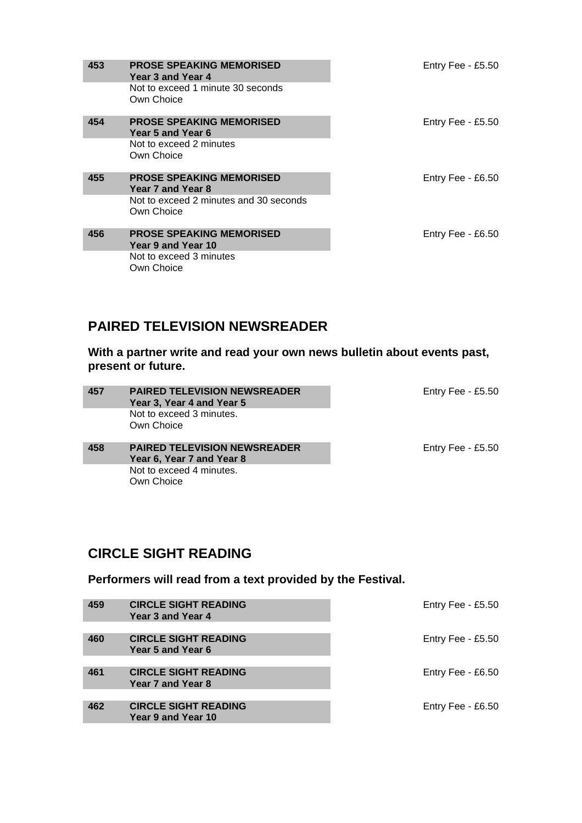| 453 | <b>PROSE SPEAKING MEMORISED</b><br>Year 3 and Year 4  | Entry Fee - $£5.50$ |
|-----|-------------------------------------------------------|---------------------|
|     | Not to exceed 1 minute 30 seconds<br>Own Choice       |                     |
| 454 | <b>PROSE SPEAKING MEMORISED</b><br>Year 5 and Year 6  | Entry Fee - $£5.50$ |
|     | Not to exceed 2 minutes<br>Own Choice                 |                     |
| 455 | <b>PROSE SPEAKING MEMORISED</b><br>Year 7 and Year 8  | Entry Fee - $£6.50$ |
|     | Not to exceed 2 minutes and 30 seconds<br>Own Choice  |                     |
| 456 | <b>PROSE SPEAKING MEMORISED</b><br>Year 9 and Year 10 | Entry Fee - £6.50   |
|     | Not to exceed 3 minutes<br>Own Choice                 |                     |

#### **PAIRED TELEVISION NEWSREADER**

**With a partner write and read your own news bulletin about events past, present or future.**

| 457 | <b>PAIRED TELEVISION NEWSREADER</b><br>Year 3, Year 4 and Year 5 | Entry Fee - $£5.50$ |
|-----|------------------------------------------------------------------|---------------------|
|     | Not to exceed 3 minutes.                                         |                     |
|     | Own Choice                                                       |                     |
|     |                                                                  |                     |
| 458 | <b>PAIRED TELEVISION NEWSREADER</b>                              | Entry Fee - £5.50   |
|     | Year 6, Year 7 and Year 8                                        |                     |
|     | Not to exceed 4 minutes.                                         |                     |
|     | Own Choice                                                       |                     |

# **CIRCLE SIGHT READING**

**Performers will read from a text provided by the Festival.**

| 459 | <b>CIRCLE SIGHT READING</b><br>Year 3 and Year 4  | Entry Fee - £5.50 |
|-----|---------------------------------------------------|-------------------|
| 460 | <b>CIRCLE SIGHT READING</b><br>Year 5 and Year 6  | Entry Fee - £5.50 |
| 461 | <b>CIRCLE SIGHT READING</b><br>Year 7 and Year 8  | Entry Fee - £6.50 |
| 462 | <b>CIRCLE SIGHT READING</b><br>Year 9 and Year 10 | Entry Fee - £6.50 |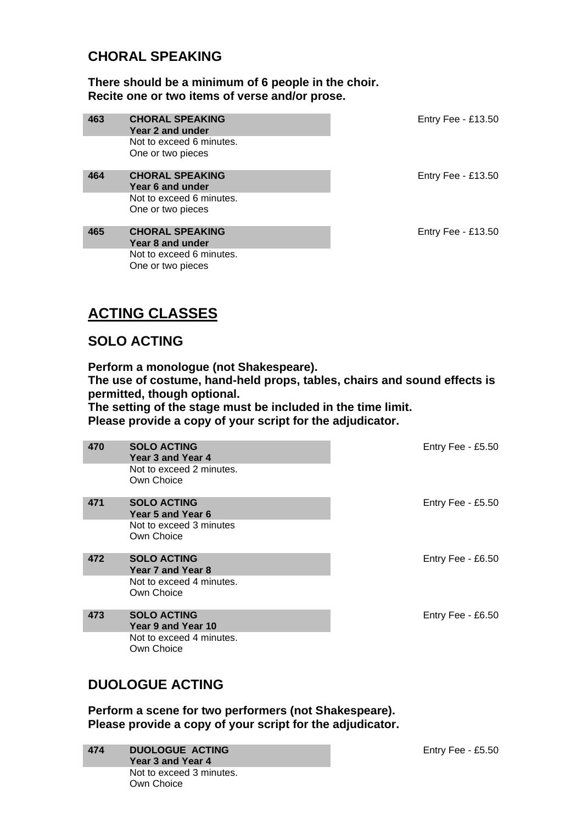#### **CHORAL SPEAKING**

**There should be a minimum of 6 people in the choir. Recite one or two items of verse and/or prose.**

| 463 | <b>CHORAL SPEAKING</b><br>Year 2 and under                             | Entry Fee - £13.50   |
|-----|------------------------------------------------------------------------|----------------------|
|     | Not to exceed 6 minutes.<br>One or two pieces                          |                      |
| 464 | <b>CHORAL SPEAKING</b><br>Year 6 and under<br>Not to exceed 6 minutes. | Entry Fee - $£13.50$ |
|     | One or two pieces                                                      |                      |
| 465 | <b>CHORAL SPEAKING</b><br>Year 8 and under                             | Entry Fee - £13.50   |
|     | Not to exceed 6 minutes.<br>One or two pieces                          |                      |

# **ACTING CLASSES**

### **SOLO ACTING**

**Perform a monologue (not Shakespeare).**

**The use of costume, hand-held props, tables, chairs and sound effects is permitted, though optional.**

**The setting of the stage must be included in the time limit.**

**Please provide a copy of your script for the adjudicator.**

| 470 | <b>SOLO ACTING</b><br>Year 3 and Year 4<br>Not to exceed 2 minutes.<br>Own Choice  | Entry Fee - £5.50 |
|-----|------------------------------------------------------------------------------------|-------------------|
| 471 | <b>SOLO ACTING</b><br>Year 5 and Year 6<br>Not to exceed 3 minutes<br>Own Choice   | Entry Fee - £5.50 |
| 472 | <b>SOLO ACTING</b><br>Year 7 and Year 8<br>Not to exceed 4 minutes.<br>Own Choice  | Entry Fee - £6.50 |
| 473 | <b>SOLO ACTING</b><br>Year 9 and Year 10<br>Not to exceed 4 minutes.<br>Own Choice | Entry Fee - £6.50 |

# **DUOLOGUE ACTING**

**Perform a scene for two performers (not Shakespeare). Please provide a copy of your script for the adjudicator.**

| 474 | <b>DUOLOGUE ACTING</b><br>Year 3 and Year 4 |
|-----|---------------------------------------------|
|     | Not to exceed 3 minutes.<br>Own Choice      |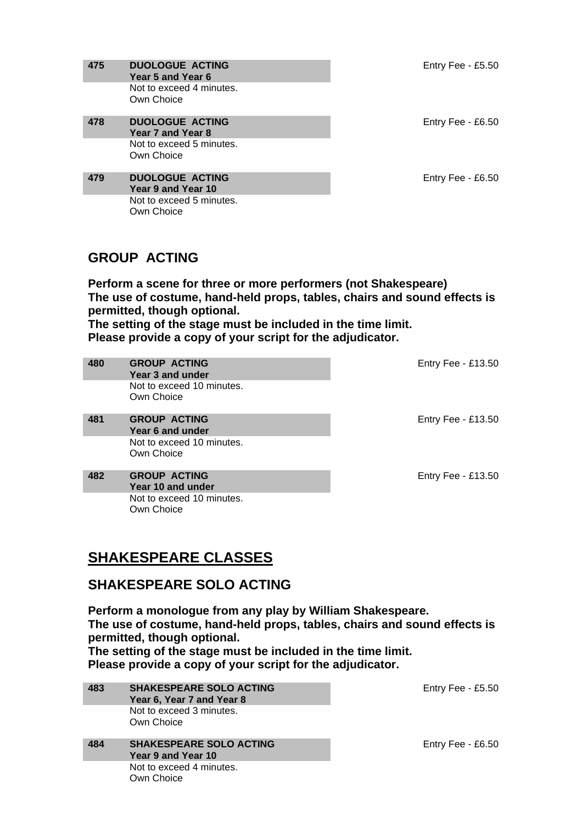| 475 | <b>DUOLOGUE ACTING</b><br>Year 5 and Year 6  | Entry Fee - $£5.50$ |
|-----|----------------------------------------------|---------------------|
|     | Not to exceed 4 minutes.<br>Own Choice       |                     |
| 478 | <b>DUOLOGUE ACTING</b><br>Year 7 and Year 8  | Entry Fee - $£6.50$ |
|     | Not to exceed 5 minutes.<br>Own Choice       |                     |
| 479 | <b>DUOLOGUE ACTING</b><br>Year 9 and Year 10 | Entry Fee - £6.50   |
|     | Not to exceed 5 minutes.<br>Own Choice       |                     |

## **GROUP ACTING**

**Perform a scene for three or more performers (not Shakespeare) The use of costume, hand-held props, tables, chairs and sound effects is permitted, though optional.**

**The setting of the stage must be included in the time limit. Please provide a copy of your script for the adjudicator.**

| 480 | <b>GROUP ACTING</b><br>Year 3 and under  | Entry Fee - £13.50   |
|-----|------------------------------------------|----------------------|
|     | Not to exceed 10 minutes.<br>Own Choice  |                      |
| 481 | <b>GROUP ACTING</b><br>Year 6 and under  | Entry Fee - $£13.50$ |
|     | Not to exceed 10 minutes.<br>Own Choice  |                      |
| 482 | <b>GROUP ACTING</b><br>Year 10 and under | Entry Fee - $£13.50$ |
|     | Not to exceed 10 minutes.<br>Own Choice  |                      |

# **SHAKESPEARE CLASSES**

#### **SHAKESPEARE SOLO ACTING**

**Perform a monologue from any play by William Shakespeare. The use of costume, hand-held props, tables, chairs and sound effects is permitted, though optional.**

**The setting of the stage must be included in the time limit. Please provide a copy of your script for the adjudicator.**

| 483 | <b>SHAKESPEARE SOLO ACTING</b><br>Year 6, Year 7 and Year 8 | Entry Fee - £5.50 |
|-----|-------------------------------------------------------------|-------------------|
|     | Not to exceed 3 minutes.                                    |                   |
|     | Own Choice                                                  |                   |
|     |                                                             |                   |
| 484 | <b>SHAKESPEARE SOLO ACTING</b>                              | Entry Fee - £6.50 |
|     | Year 9 and Year 10                                          |                   |
|     | Not to exceed 4 minutes.                                    |                   |
|     | Own Choice                                                  |                   |
|     |                                                             |                   |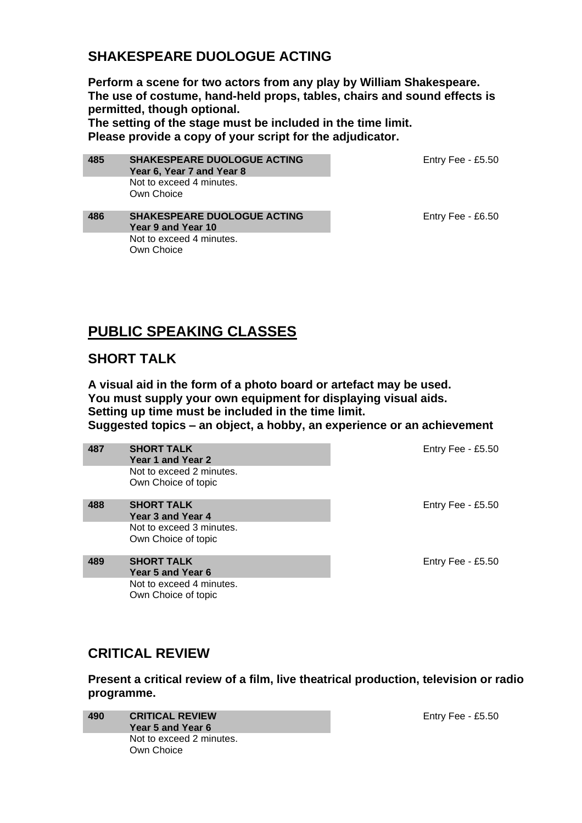## **SHAKESPEARE DUOLOGUE ACTING**

**Perform a scene for two actors from any play by William Shakespeare. The use of costume, hand-held props, tables, chairs and sound effects is permitted, though optional.**

**The setting of the stage must be included in the time limit. Please provide a copy of your script for the adjudicator.**

Entry Fee - £5.50

**485 SHAKESPEARE DUOLOGUE ACTING Year 6, Year 7 and Year 8** Not to exceed 4 minutes. Own Choice

Entry Fee - £6.50

#### **486 SHAKESPEARE DUOLOGUE ACTING Year 9 and Year 10** Not to exceed 4 minutes. Own Choice

# **PUBLIC SPEAKING CLASSES**

#### **SHORT TALK**

**A visual aid in the form of a photo board or artefact may be used. You must supply your own equipment for displaying visual aids. Setting up time must be included in the time limit. Suggested topics – an object, a hobby, an experience or an achievement**

| 487 | <b>SHORT TALK</b><br>Year 1 and Year 2          | Entry Fee - $£5.50$ |
|-----|-------------------------------------------------|---------------------|
|     | Not to exceed 2 minutes.<br>Own Choice of topic |                     |
| 488 | <b>SHORT TALK</b><br>Year 3 and Year 4          | Entry Fee - $£5.50$ |
|     | Not to exceed 3 minutes.<br>Own Choice of topic |                     |
| 489 | <b>SHORT TALK</b><br>Year 5 and Year 6          | Entry Fee - £5.50   |
|     | Not to exceed 4 minutes.<br>Own Choice of topic |                     |

### **CRITICAL REVIEW**

**Present a critical review of a film, live theatrical production, television or radio programme.**

**490 CRITICAL REVIEW Year 5 and Year 6** Not to exceed 2 minutes. Own Choice